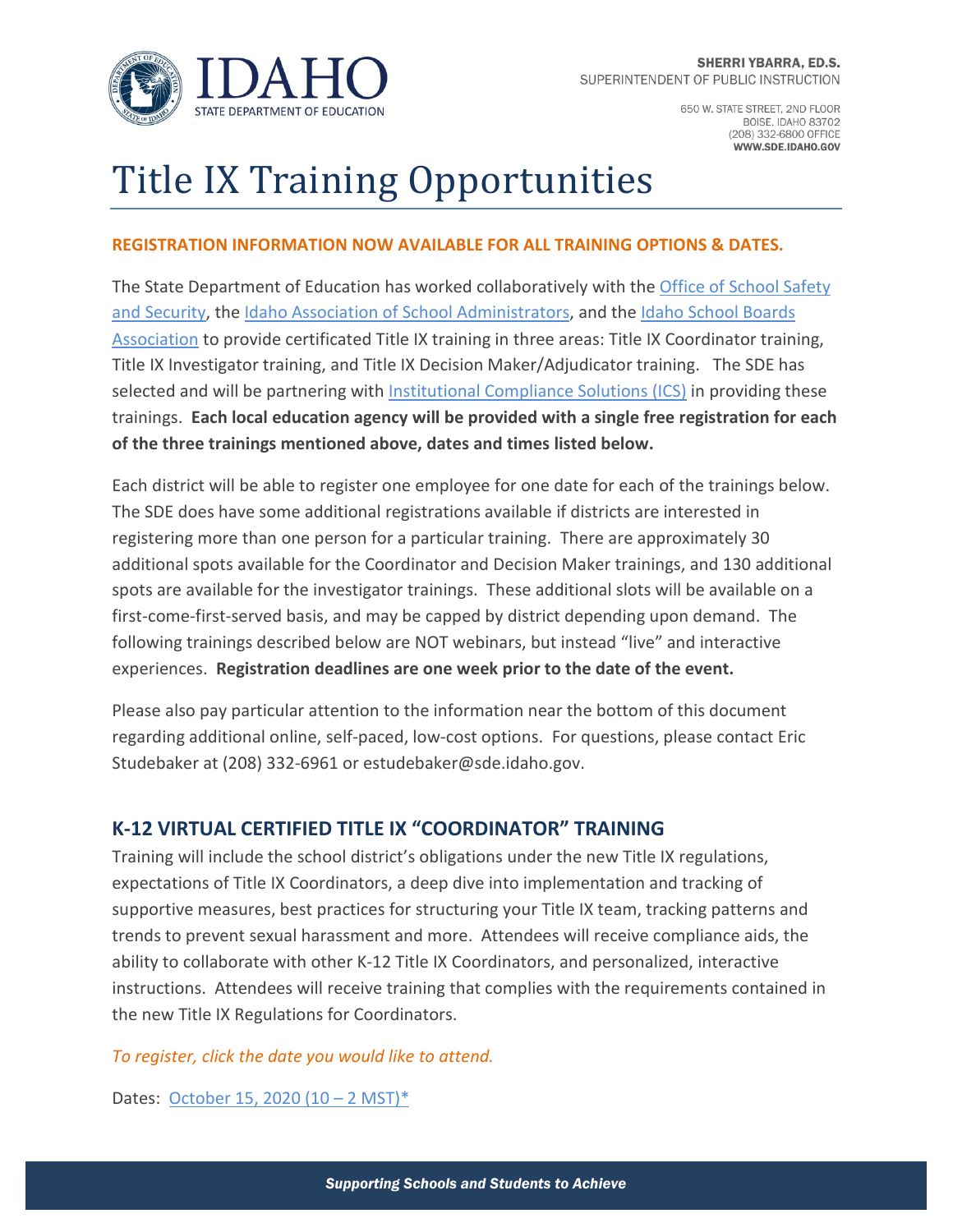

650 W. STATE STREET, 2ND FLOOR **BOISE, IDAHO 83702** (208) 332-6800 OFFICE WWW.SDE.IDAHO.GOV

# Title IX Training Opportunities

### **REGISTRATION INFORMATION NOW AVAILABLE FOR ALL TRAINING OPTIONS & DATES.**

The State Department of Education has worked collaboratively with the [Office of School Safety](https://schoolsafety.dbs.idaho.gov/)  [and Security,](https://schoolsafety.dbs.idaho.gov/) the [Idaho Association of School Administrators,](https://www.idschadm.org/) and the [Idaho School Boards](https://www.idsba.org/)  [Association](https://www.idsba.org/) to provide certificated Title IX training in three areas: Title IX Coordinator training, Title IX Investigator training, and Title IX Decision Maker/Adjudicator training. The SDE has selected and will be partnering wit[h Institutional Compliance Solutions \(ICS\)](https://icslawyer.com/) in providing these trainings. **Each local education agency will be provided with a single free registration for each of the three trainings mentioned above, dates and times listed below.**

Each district will be able to register one employee for one date for each of the trainings below. The SDE does have some additional registrations available if districts are interested in registering more than one person for a particular training. There are approximately 30 additional spots available for the Coordinator and Decision Maker trainings, and 130 additional spots are available for the investigator trainings. These additional slots will be available on a first-come-first-served basis, and may be capped by district depending upon demand. The following trainings described below are NOT webinars, but instead "live" and interactive experiences. **Registration deadlines are one week prior to the date of the event.**

Please also pay particular attention to the information near the bottom of this document regarding additional online, self-paced, low-cost options. For questions, please contact Eric Studebaker at (208) 332-6961 or estudebaker@sde.idaho.gov.

## **K-12 VIRTUAL CERTIFIED TITLE IX "COORDINATOR" TRAINING**

Training will include the school district's obligations under the new Title IX regulations, expectations of Title IX Coordinators, a deep dive into implementation and tracking of supportive measures, best practices for structuring your Title IX team, tracking patterns and trends to prevent sexual harassment and more. Attendees will receive compliance aids, the ability to collaborate with other K-12 Title IX Coordinators, and personalized, interactive instructions. Attendees will receive training that complies with the requirements contained in the new Title IX Regulations for Coordinators.

#### *To register, click the date you would like to attend.*

Dates: [October 15, 2020 \(10 –](https://form.jotform.com/202434459795162) 2 MST)\*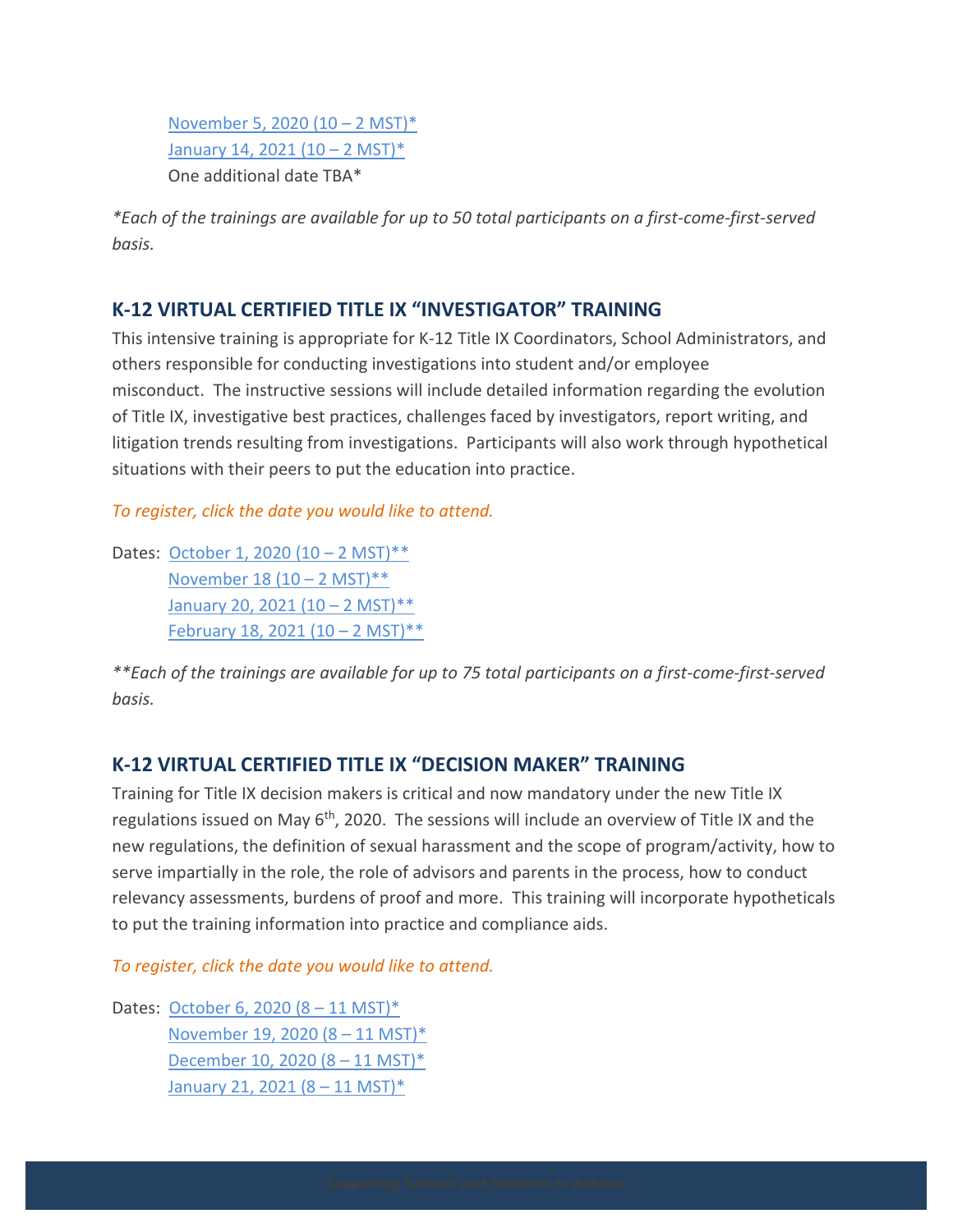[November 5, 2020 \(10 –](https://form.jotform.com/202435437624150) 2 MST)\* [January 14, 2021 \(10 –](https://form.jotform.com/202434992535156) 2 MST)\* One additional date TBA\*

*\*Each of the trainings are available for up to 50 total participants on a first-come-first-served basis.*

# **K-12 VIRTUAL CERTIFIED TITLE IX "INVESTIGATOR" TRAINING**

This intensive training is appropriate for K-12 Title IX Coordinators, School Administrators, and others responsible for conducting investigations into student and/or employee misconduct. The instructive sessions will include detailed information regarding the evolution of Title IX, investigative best practices, challenges faced by investigators, report writing, and litigation trends resulting from investigations. Participants will also work through hypothetical situations with their peers to put the education into practice.

*To register, click the date you would like to attend.*

Dates: [October 1, 2020 \(10 –](https://form.jotform.com/202435385721150) 2 MST)\*\* [November 18 \(10 –](https://form.jotform.com/202435562117146) 2 MST)\*\* [January 20, 2021 \(10 –](https://form.jotform.com/202435632937154) 2 MST)\*\* [February 18, 2021 \(10 –](https://form.jotform.com/202435041901139) 2 MST)\*\*

*\*\*Each of the trainings are available for up to 75 total participants on a first-come-first-served basis.*

## **K-12 VIRTUAL CERTIFIED TITLE IX "DECISION MAKER" TRAINING**

Training for Title IX decision makers is critical and now mandatory under the new Title IX regulations issued on May 6<sup>th</sup>, 2020. The sessions will include an overview of Title IX and the new regulations, the definition of sexual harassment and the scope of program/activity, how to serve impartially in the role, the role of advisors and parents in the process, how to conduct relevancy assessments, burdens of proof and more. This training will incorporate hypotheticals to put the training information into practice and compliance aids.

*To register, click the date you would like to attend.*

Dates: [October 6, 2020 \(8 –](https://form.jotform.com/202435082562147) 11 MST)\* [November 19, 2020 \(8 –](https://form.jotform.com/202435718429155) 11 MST)\* [December 10, 2020 \(8 –](https://form.jotform.com/202435456827156) 11 MST)\* [January 21, 2021 \(8 –](https://form.jotform.com/202435409221142) 11 MST)\*